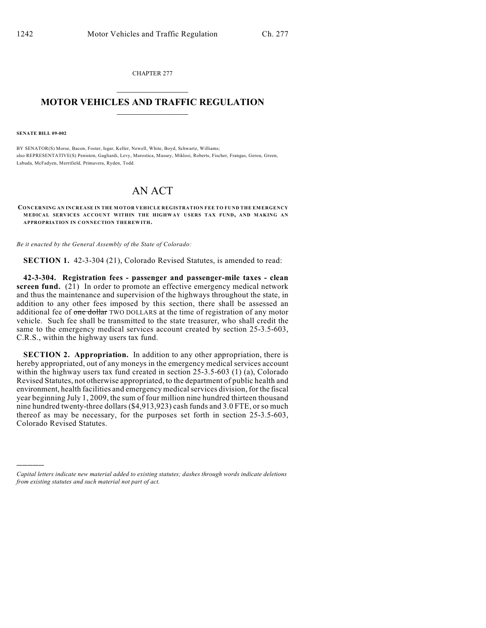CHAPTER 277  $\mathcal{L}_\text{max}$  . The set of the set of the set of the set of the set of the set of the set of the set of the set of the set of the set of the set of the set of the set of the set of the set of the set of the set of the set

## **MOTOR VEHICLES AND TRAFFIC REGULATION**  $\frac{1}{2}$  ,  $\frac{1}{2}$  ,  $\frac{1}{2}$  ,  $\frac{1}{2}$  ,  $\frac{1}{2}$  ,  $\frac{1}{2}$  ,  $\frac{1}{2}$  ,  $\frac{1}{2}$

**SENATE BILL 09-002**

)))))

BY SENATOR(S) Morse, Bacon, Foster, Isgar, Keller, Newell, White, Boyd, Schwartz, Williams; also REPRESENTATIVE(S) Peniston, Gagliardi, Levy, Marostica, Massey, Miklosi, Roberts, Fischer, Frangas, Gerou, Green, Labuda, McFadyen, Merrifield, Primavera, Ryden, Todd.

## AN ACT

**CONCERNING AN INCREASE IN THE M OTOR VEHICLE REGISTRATION FEE TO FUND THE EMERGENCY MEDICAL SERVICES ACCOUNT WITHIN THE HIGHWAY USERS TAX FUND, AND MAKING AN APPROPRIATION IN CONNECTION THEREWITH.**

*Be it enacted by the General Assembly of the State of Colorado:*

**SECTION 1.** 42-3-304 (21), Colorado Revised Statutes, is amended to read:

**42-3-304. Registration fees - passenger and passenger-mile taxes - clean screen fund.** (21) In order to promote an effective emergency medical network and thus the maintenance and supervision of the highways throughout the state, in addition to any other fees imposed by this section, there shall be assessed an additional fee of one dollar TWO DOLLARS at the time of registration of any motor vehicle. Such fee shall be transmitted to the state treasurer, who shall credit the same to the emergency medical services account created by section 25-3.5-603, C.R.S., within the highway users tax fund.

**SECTION 2. Appropriation.** In addition to any other appropriation, there is hereby appropriated, out of any moneys in the emergency medical services account within the highway users tax fund created in section 25-3.5-603 (1) (a), Colorado Revised Statutes, not otherwise appropriated, to the department of public health and environment, health facilities and emergency medical services division, for the fiscal year beginning July 1, 2009, the sum of four million nine hundred thirteen thousand nine hundred twenty-three dollars (\$4,913,923) cash funds and 3.0 FTE, orso much thereof as may be necessary, for the purposes set forth in section 25-3.5-603, Colorado Revised Statutes.

*Capital letters indicate new material added to existing statutes; dashes through words indicate deletions from existing statutes and such material not part of act.*